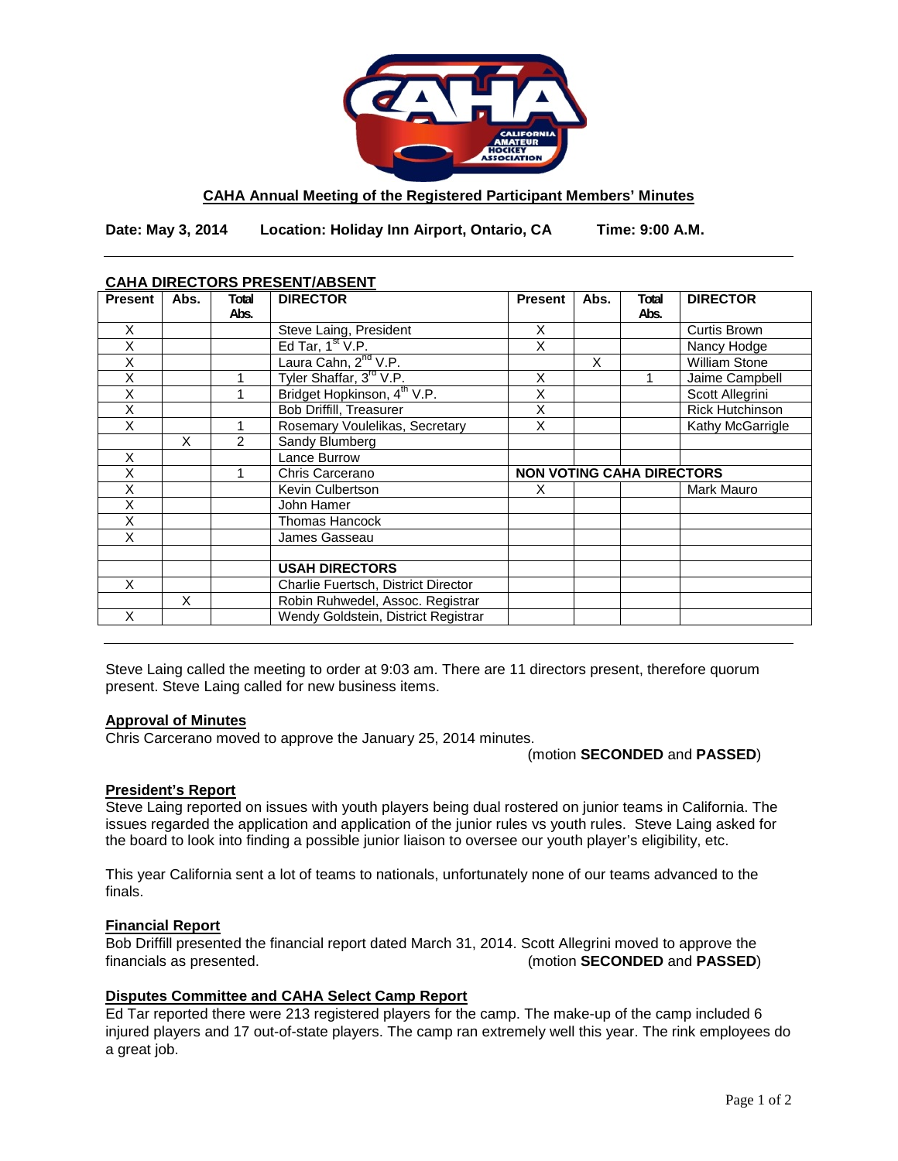

### **CAHA Annual Meeting of the Registered Participant Members' Minutes**

**Date: May 3, 2014 Location: Holiday Inn Airport, Ontario, CA Time: 9:00 A.M.**

## **CAHA DIRECTORS PRESENT/ABSENT**

| Abs. | Total | <b>DIRECTOR</b>                     | <b>Present</b>                                                                                                               | Abs. | Total | <b>DIRECTOR</b>        |
|------|-------|-------------------------------------|------------------------------------------------------------------------------------------------------------------------------|------|-------|------------------------|
|      | Abs.  |                                     |                                                                                                                              |      | Abs.  |                        |
|      |       | Steve Laing, President              | X                                                                                                                            |      |       | Curtis Brown           |
|      |       |                                     | X                                                                                                                            |      |       | Nancy Hodge            |
|      |       |                                     |                                                                                                                              | X    |       | <b>William Stone</b>   |
|      |       |                                     | Χ                                                                                                                            |      |       | Jaime Campbell         |
|      |       |                                     | X                                                                                                                            |      |       | Scott Allegrini        |
|      |       | <b>Bob Driffill, Treasurer</b>      | X                                                                                                                            |      |       | <b>Rick Hutchinson</b> |
|      |       | Rosemary Voulelikas, Secretary      | Χ                                                                                                                            |      |       | Kathy McGarrigle       |
| X    | 2     | Sandy Blumberg                      |                                                                                                                              |      |       |                        |
|      |       | Lance Burrow                        |                                                                                                                              |      |       |                        |
|      |       | Chris Carcerano                     | <b>NON VOTING CAHA DIRECTORS</b>                                                                                             |      |       |                        |
|      |       | Kevin Culbertson                    | X                                                                                                                            |      |       | Mark Mauro             |
|      |       | John Hamer                          |                                                                                                                              |      |       |                        |
|      |       | <b>Thomas Hancock</b>               |                                                                                                                              |      |       |                        |
|      |       | James Gasseau                       |                                                                                                                              |      |       |                        |
|      |       |                                     |                                                                                                                              |      |       |                        |
|      |       | <b>USAH DIRECTORS</b>               |                                                                                                                              |      |       |                        |
|      |       | Charlie Fuertsch, District Director |                                                                                                                              |      |       |                        |
| X    |       | Robin Ruhwedel, Assoc. Registrar    |                                                                                                                              |      |       |                        |
|      |       | Wendy Goldstein, District Registrar |                                                                                                                              |      |       |                        |
|      |       |                                     | Ed Tar, $1st V.P.$<br>Laura Cahn, 2 <sup>nd</sup> V.P.<br>Tyler Shaffar, 3rd V.P.<br>Bridget Hopkinson, 4 <sup>th</sup> V.P. |      |       |                        |

Steve Laing called the meeting to order at 9:03 am. There are 11 directors present, therefore quorum present. Steve Laing called for new business items.

### **Approval of Minutes**

Chris Carcerano moved to approve the January 25, 2014 minutes.

### (motion **SECONDED** and **PASSED**)

## **President's Report**

Steve Laing reported on issues with youth players being dual rostered on junior teams in California. The issues regarded the application and application of the junior rules vs youth rules. Steve Laing asked for the board to look into finding a possible junior liaison to oversee our youth player's eligibility, etc.

This year California sent a lot of teams to nationals, unfortunately none of our teams advanced to the finals.

### **Financial Report**

Bob Driffill presented the financial report dated March 31, 2014. Scott Allegrini moved to approve the financials as presented.<br>(motion SECONDED and PASSED) (motion **SECONDED** and **PASSED**)

## **Disputes Committee and CAHA Select Camp Report**

Ed Tar reported there were 213 registered players for the camp. The make-up of the camp included 6 injured players and 17 out-of-state players. The camp ran extremely well this year. The rink employees do a great job.